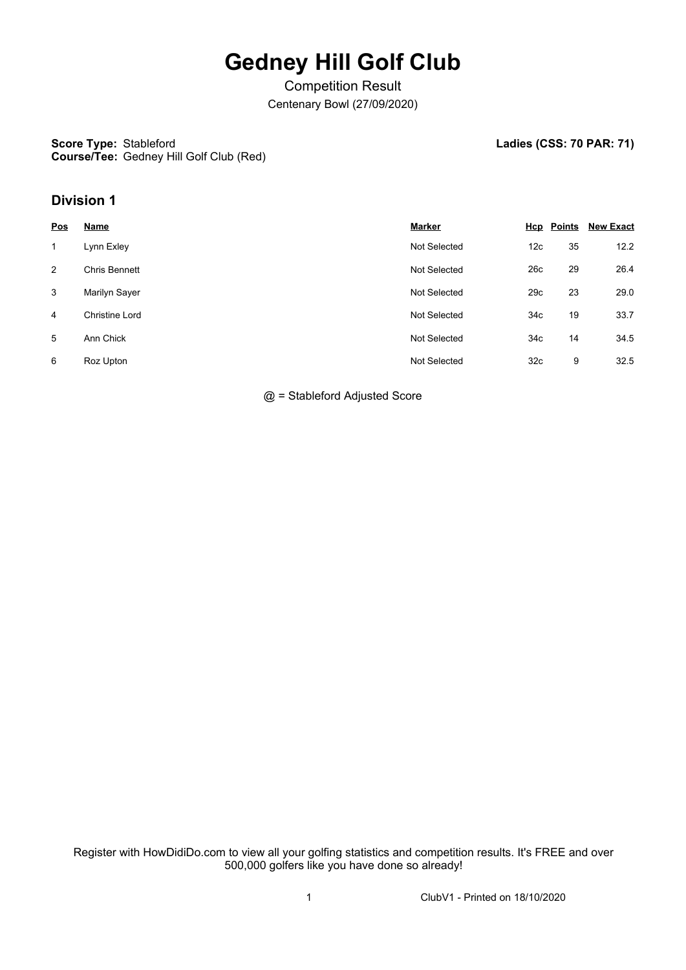## **Gedney Hill Golf Club**

Competition Result Centenary Bowl (27/09/2020)

## **Score Type: Course/Tee:** Gedney Hill Golf Club (Red)

Ladies (CSS: 70 PAR: 71)

## **Division 1**

| <u>Pos</u> | <b>Name</b>           | <b>Marker</b>       |                 | <b>Hcp</b> Points | <b>New Exact</b> |
|------------|-----------------------|---------------------|-----------------|-------------------|------------------|
| 1          | Lynn Exley            | Not Selected        | 12 <sub>c</sub> | 35                | 12.2             |
| 2          | <b>Chris Bennett</b>  | Not Selected        | 26c             | 29                | 26.4             |
| 3          | Marilyn Sayer         | Not Selected        | 29c             | 23                | 29.0             |
| 4          | <b>Christine Lord</b> | <b>Not Selected</b> | 34 <sub>c</sub> | 19                | 33.7             |
| 5          | Ann Chick             | Not Selected        | 34 <sub>c</sub> | 14                | 34.5             |
| 6          | Roz Upton             | <b>Not Selected</b> | 32 <sub>c</sub> | 9                 | 32.5             |

@ = Stableford Adjusted Score

Register with HowDidiDo.com to view all your golfing statistics and competition results. It's FREE and over 500,000 golfers like you have done so already!